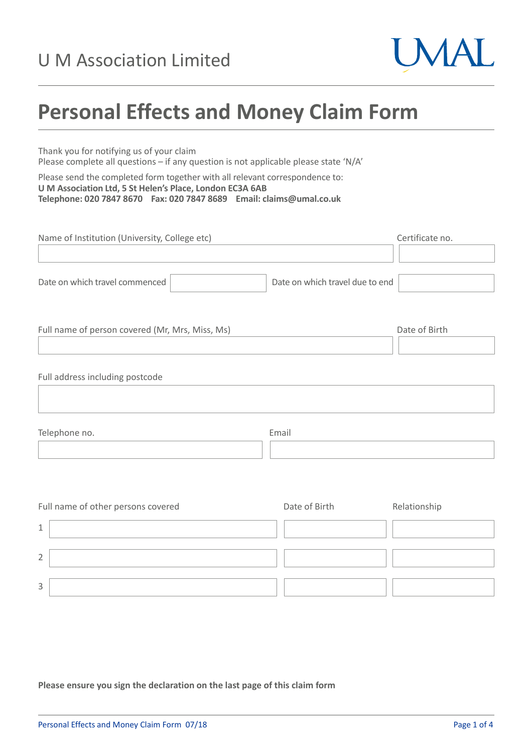

# **Personal Effects and Money Claim Form**

Thank you for notifying us of your claim Please complete all questions – if any question is not applicable please state 'N/A'

Please send the completed form together with all relevant correspondence to: **U M Association Ltd, 5 St Helen's Place, London EC3A 6AB Telephone: 020 7847 8670 Fax: 020 7847 8689 Email: claims@umal.co.uk**

| Name of Institution (University, College etc)        |                                 | Certificate no.                                            |
|------------------------------------------------------|---------------------------------|------------------------------------------------------------|
|                                                      |                                 |                                                            |
| Date on which travel commenced                       | Date on which travel due to end |                                                            |
| Full name of person covered (Mr, Mrs, Miss, Ms)      |                                 | Date of Birth                                              |
| Full address including postcode                      |                                 |                                                            |
| Telephone no.                                        | Email                           |                                                            |
| Full name of other persons covered<br>$\overline{ }$ | Date of Birth                   | Relationship<br><b>Contract Contract Contract Contract</b> |

| ◠ |  |  |
|---|--|--|

**Please ensure you sign the declaration on the last page of this claim form**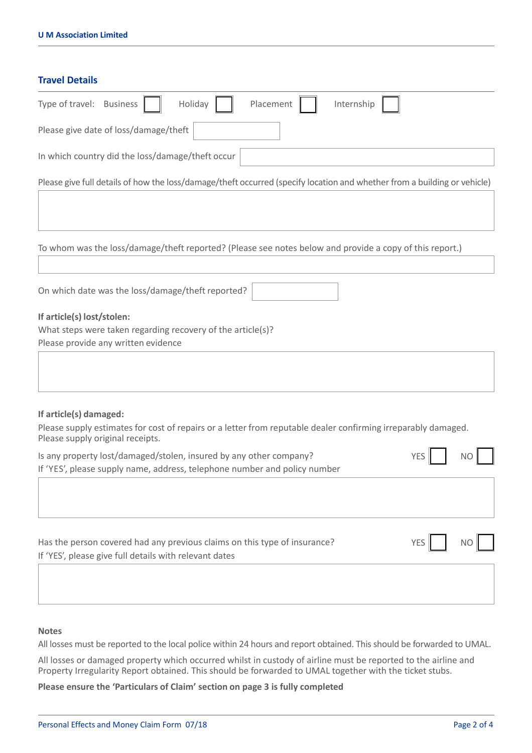| <b>Travel Details</b>                                                                                                                                                       |  |  |  |  |
|-----------------------------------------------------------------------------------------------------------------------------------------------------------------------------|--|--|--|--|
| Type of travel: Business<br>Holiday<br>Placement<br>Internship                                                                                                              |  |  |  |  |
| Please give date of loss/damage/theft                                                                                                                                       |  |  |  |  |
| In which country did the loss/damage/theft occur                                                                                                                            |  |  |  |  |
| Please give full details of how the loss/damage/theft occurred (specify location and whether from a building or vehicle)                                                    |  |  |  |  |
| To whom was the loss/damage/theft reported? (Please see notes below and provide a copy of this report.)                                                                     |  |  |  |  |
| On which date was the loss/damage/theft reported?                                                                                                                           |  |  |  |  |
| If article(s) lost/stolen:<br>What steps were taken regarding recovery of the article(s)?<br>Please provide any written evidence                                            |  |  |  |  |
|                                                                                                                                                                             |  |  |  |  |
| If article(s) damaged:<br>Please supply estimates for cost of repairs or a letter from reputable dealer confirming irreparably damaged.<br>Please supply original receipts. |  |  |  |  |
| Is any property lost/damaged/stolen, insured by any other company?<br><b>YES</b><br>ΝO<br>If 'YES', please supply name, address, telephone number and policy number         |  |  |  |  |
| Has the person covered had any previous claims on this type of insurance?<br><b>YES</b><br>N <sub>O</sub><br>If 'YES', please give full details with relevant dates         |  |  |  |  |

### **Notes**

All losses must be reported to the local police within 24 hours and report obtained. This should be forwarded to UMAL.

All losses or damaged property which occurred whilst in custody of airline must be reported to the airline and Property Irregularity Report obtained. This should be forwarded to UMAL together with the ticket stubs.

**Please ensure the 'Particulars of Claim' section on page 3 is fully completed**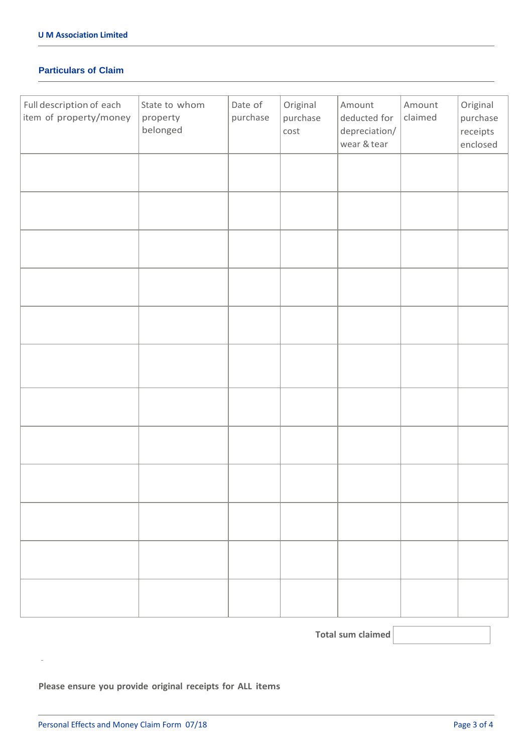#### **Particulars of Claim**

| Full description of each<br>item of property/money | State to whom<br>property<br>belonged | Date of<br>purchase | Original<br>purchase<br>cost | Amount<br>deducted for<br>depreciation/<br>wear & tear | Amount<br>claimed | Original<br>purchase<br>receipts<br>enclosed |
|----------------------------------------------------|---------------------------------------|---------------------|------------------------------|--------------------------------------------------------|-------------------|----------------------------------------------|
|                                                    |                                       |                     |                              |                                                        |                   |                                              |
|                                                    |                                       |                     |                              |                                                        |                   |                                              |
|                                                    |                                       |                     |                              |                                                        |                   |                                              |
|                                                    |                                       |                     |                              |                                                        |                   |                                              |
|                                                    |                                       |                     |                              |                                                        |                   |                                              |
|                                                    |                                       |                     |                              |                                                        |                   |                                              |
|                                                    |                                       |                     |                              |                                                        |                   |                                              |
|                                                    |                                       |                     |                              |                                                        |                   |                                              |
|                                                    |                                       |                     |                              |                                                        |                   |                                              |
|                                                    |                                       |                     |                              |                                                        |                   |                                              |
|                                                    |                                       |                     |                              |                                                        |                   |                                              |
|                                                    |                                       |                     |                              |                                                        |                   |                                              |

 **Total sum claimed** 

## **Please ensure you provide original receipts for ALL items**